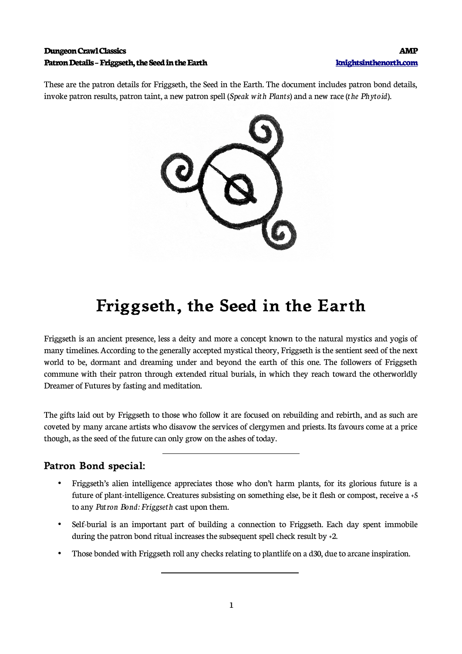#### **Dungeon Crawl Classics AMP Patron Details – Friggseth, the Seed in the Earth [knightsinthenorth.com](http://knightsinthenorth.com/)**

These are the patron details for Friggseth, the Seed in the Earth. The document includes patron bond details, invoke patron results, patron taint, a new patron spell (*Speak with Plants*) and a new race (*the Phytoid*).



# **Friggseth, the Seed in the Earth**

Friggseth is an ancient presence, less a deity and more a concept known to the natural mystics and yogis of many timelines. According to the generally accepted mystical theory, Friggseth is the sentient seed of the next world to be, dormant and dreaming under and beyond the earth of this one. The followers of Friggseth commune with their patron through extended ritual burials, in which they reach toward the otherworldly Dreamer of Futures by fasting and meditation.

The gifts laid out by Friggseth to those who follow it are focused on rebuilding and rebirth, and as such are coveted by many arcane artists who disavow the services of clergymen and priests. Its favours come at a price though, as the seed of the future can only grow on the ashes of today.

#### **Patron Bond special:**

 $\overline{a}$ 

 $\overline{a}$ 

- Friggseth's alien intelligence appreciates those who don't harm plants, for its glorious future is a future of plant-intelligence. Creatures subsisting on something else, be it flesh or compost, receive a +5 to any *Patron Bond: Friggseth* cast upon them.
- Self-burial is an important part of building a connection to Friggseth. Each day spent immobile during the patron bond ritual increases the subsequent spell check result by +2.
- Those bonded with Friggseth roll any checks relating to plantlife on a d30, due to arcane inspiration.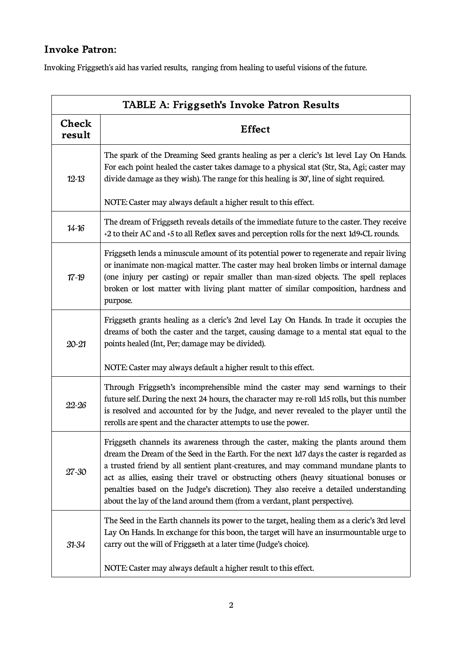## **Invoke Patron:**

Invoking Friggseth's aid has varied results, ranging from healing to useful visions of the future.

| TABLE A: Friggseth's Invoke Patron Results |                                                                                                                                                                                                                                                                                                                                                                                                                                                                                                                                          |  |  |  |
|--------------------------------------------|------------------------------------------------------------------------------------------------------------------------------------------------------------------------------------------------------------------------------------------------------------------------------------------------------------------------------------------------------------------------------------------------------------------------------------------------------------------------------------------------------------------------------------------|--|--|--|
| <b>Check</b><br>result                     | <b>Effect</b>                                                                                                                                                                                                                                                                                                                                                                                                                                                                                                                            |  |  |  |
| $12 - 13$                                  | The spark of the Dreaming Seed grants healing as per a cleric's 1st level Lay On Hands.<br>For each point healed the caster takes damage to a physical stat (Str, Sta, Agi; caster may<br>divide damage as they wish). The range for this healing is 30', line of sight required.                                                                                                                                                                                                                                                        |  |  |  |
|                                            | NOTE: Caster may always default a higher result to this effect.                                                                                                                                                                                                                                                                                                                                                                                                                                                                          |  |  |  |
| $14 - 16$                                  | The dream of Friggseth reveals details of the immediate future to the caster. They receive<br>+2 to their AC and +5 to all Reflex saves and perception rolls for the next 1d9+CL rounds.                                                                                                                                                                                                                                                                                                                                                 |  |  |  |
| $17 - 19$                                  | Friggseth lends a minuscule amount of its potential power to regenerate and repair living<br>or inanimate non-magical matter. The caster may heal broken limbs or internal damage<br>(one injury per casting) or repair smaller than man-sized objects. The spell replaces<br>broken or lost matter with living plant matter of similar composition, hardness and<br>purpose.                                                                                                                                                            |  |  |  |
| $20 - 21$                                  | Friggseth grants healing as a cleric's 2nd level Lay On Hands. In trade it occupies the<br>dreams of both the caster and the target, causing damage to a mental stat equal to the<br>points healed (Int, Per; damage may be divided).                                                                                                                                                                                                                                                                                                    |  |  |  |
|                                            | NOTE: Caster may always default a higher result to this effect.                                                                                                                                                                                                                                                                                                                                                                                                                                                                          |  |  |  |
| 22-26                                      | Through Friggseth's incomprehensible mind the caster may send warnings to their<br>future self. During the next 24 hours, the character may re-roll 1d5 rolls, but this number<br>is resolved and accounted for by the Judge, and never revealed to the player until the<br>rerolls are spent and the character attempts to use the power.                                                                                                                                                                                               |  |  |  |
| 27-30                                      | Friggseth channels its awareness through the caster, making the plants around them<br>dream the Dream of the Seed in the Earth. For the next 1d7 days the caster is regarded as<br>a trusted friend by all sentient plant-creatures, and may command mundane plants to<br>act as allies, easing their travel or obstructing others (heavy situational bonuses or<br>penalties based on the Judge's discretion). They also receive a detailed understanding<br>about the lay of the land around them (from a verdant, plant perspective). |  |  |  |
| $31 - 34$                                  | The Seed in the Earth channels its power to the target, healing them as a cleric's 3rd level<br>Lay On Hands. In exchange for this boon, the target will have an insurmountable urge to<br>carry out the will of Friggseth at a later time (Judge's choice).                                                                                                                                                                                                                                                                             |  |  |  |
|                                            | NOTE: Caster may always default a higher result to this effect.                                                                                                                                                                                                                                                                                                                                                                                                                                                                          |  |  |  |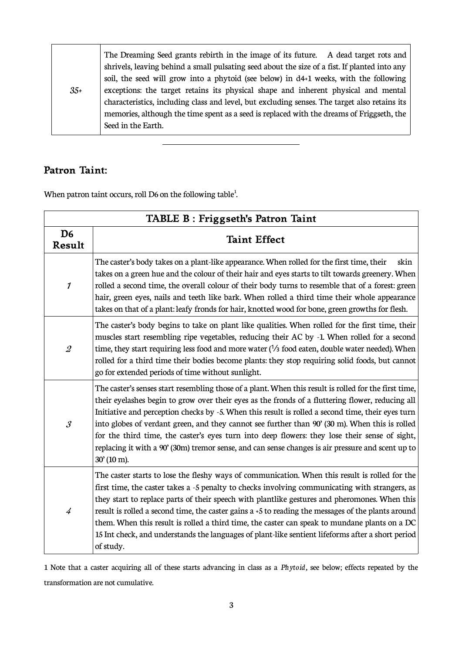| $35+$ | The Dreaming Seed grants rebirth in the image of its future. A dead target rots and<br>shrivels, leaving behind a small pulsating seed about the size of a fist. If planted into any<br>soil, the seed will grow into a phytoid (see below) in d4+1 weeks, with the following<br>exceptions: the target retains its physical shape and inherent physical and mental<br>characteristics, including class and level, but excluding senses. The target also retains its |
|-------|----------------------------------------------------------------------------------------------------------------------------------------------------------------------------------------------------------------------------------------------------------------------------------------------------------------------------------------------------------------------------------------------------------------------------------------------------------------------|
|       | memories, although the time spent as a seed is replaced with the dreams of Friggseth, the                                                                                                                                                                                                                                                                                                                                                                            |
|       | Seed in the Earth.                                                                                                                                                                                                                                                                                                                                                                                                                                                   |

### **Patron Taint:**

When patron taint occurs, roll D6 on the following table $^1$  $^1$ .

 $\overline{a}$ 

| TABLE B: Friggseth's Patron Taint |                                                                                                                                                                                                                                                                                                                                                                                                                                                                                                                                                                                                                                                |  |  |  |
|-----------------------------------|------------------------------------------------------------------------------------------------------------------------------------------------------------------------------------------------------------------------------------------------------------------------------------------------------------------------------------------------------------------------------------------------------------------------------------------------------------------------------------------------------------------------------------------------------------------------------------------------------------------------------------------------|--|--|--|
| D <sub>6</sub><br>Result          | <b>Taint Effect</b>                                                                                                                                                                                                                                                                                                                                                                                                                                                                                                                                                                                                                            |  |  |  |
| 1                                 | The caster's body takes on a plant-like appearance. When rolled for the first time, their<br>skin<br>takes on a green hue and the colour of their hair and eyes starts to tilt towards greenery. When<br>rolled a second time, the overall colour of their body turns to resemble that of a forest: green<br>hair, green eyes, nails and teeth like bark. When rolled a third time their whole appearance<br>takes on that of a plant: leafy fronds for hair, knotted wood for bone, green growths for flesh.                                                                                                                                  |  |  |  |
| $\mathcal{Q}$                     | The caster's body begins to take on plant like qualities. When rolled for the first time, their<br>muscles start resembling ripe vegetables, reducing their AC by -1. When rolled for a second<br>time, they start requiring less food and more water $\frac{1}{3}$ food eaten, double water needed). When<br>rolled for a third time their bodies become plants: they stop requiring solid foods, but cannot<br>go for extended periods of time without sunlight.                                                                                                                                                                             |  |  |  |
| $\mathcal{S}_{0}$                 | The caster's senses start resembling those of a plant. When this result is rolled for the first time,<br>their eyelashes begin to grow over their eyes as the fronds of a fluttering flower, reducing all<br>Initiative and perception checks by -5. When this result is rolled a second time, their eyes turn<br>into globes of verdant green, and they cannot see further than 90' (30 m). When this is rolled<br>for the third time, the caster's eyes turn into deep flowers: they lose their sense of sight,<br>replacing it with a 90' (30m) tremor sense, and can sense changes is air pressure and scent up to<br>$30'(10 \text{ m}).$ |  |  |  |
| $\overline{4}$                    | The caster starts to lose the fleshy ways of communication. When this result is rolled for the<br>first time, the caster takes a -5 penalty to checks involving communicating with strangers, as<br>they start to replace parts of their speech with plantlike gestures and pheromones. When this<br>result is rolled a second time, the caster gains a +5 to reading the messages of the plants around<br>them. When this result is rolled a third time, the caster can speak to mundane plants on a DC<br>15 Int check, and understands the languages of plant-like sentient lifeforms after a short period<br>of study.                     |  |  |  |

<span id="page-2-0"></span>1 Note that a caster acquiring all of these starts advancing in class as a *Phytoid,* see below; effects repeated by the transformation are not cumulative.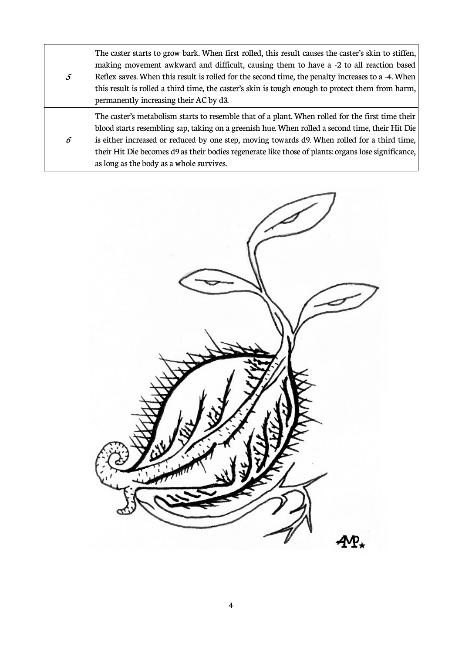|               | The caster starts to grow bark. When first rolled, this result causes the caster's skin to stiffen, |
|---------------|-----------------------------------------------------------------------------------------------------|
| $\mathcal{S}$ | making movement awkward and difficult, causing them to have a -2 to all reaction based              |
|               | Reflex saves. When this result is rolled for the second time, the penalty increases to a -4. When   |
|               | this result is rolled a third time, the caster's skin is tough enough to protect them from harm,    |
|               | permanently increasing their AC by d3.                                                              |
| $\epsilon$    | The caster's metabolism starts to resemble that of a plant. When rolled for the first time their    |
|               | blood starts resembling sap, taking on a greenish hue. When rolled a second time, their Hit Die     |
|               | is either increased or reduced by one step, moving towards d9. When rolled for a third time,        |
|               | their Hit Die becomes d9 as their bodies regenerate like those of plants: organs lose significance, |
|               | as long as the body as a whole survives.                                                            |

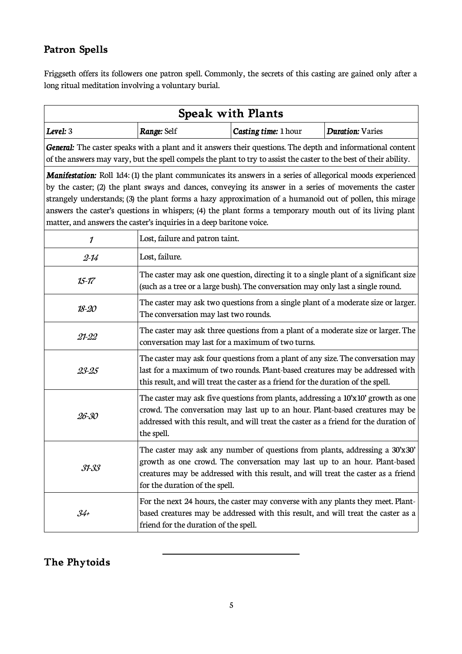# **Patron Spells**

Friggseth offers its followers one patron spell. Commonly, the secrets of this casting are gained only after a long ritual meditation involving a voluntary burial.

| <b>Speak with Plants</b>                                                                                                                                                                                                                                                                                                                                                                                                                                                                                                        |                                                                                                                                                                                                                                                                          |                      |                         |  |  |  |  |
|---------------------------------------------------------------------------------------------------------------------------------------------------------------------------------------------------------------------------------------------------------------------------------------------------------------------------------------------------------------------------------------------------------------------------------------------------------------------------------------------------------------------------------|--------------------------------------------------------------------------------------------------------------------------------------------------------------------------------------------------------------------------------------------------------------------------|----------------------|-------------------------|--|--|--|--|
| Level: 3                                                                                                                                                                                                                                                                                                                                                                                                                                                                                                                        | Range: Self                                                                                                                                                                                                                                                              | Casting time: 1 hour | <b>Duration: Varies</b> |  |  |  |  |
| General: The caster speaks with a plant and it answers their questions. The depth and informational content<br>of the answers may vary, but the spell compels the plant to try to assist the caster to the best of their ability.                                                                                                                                                                                                                                                                                               |                                                                                                                                                                                                                                                                          |                      |                         |  |  |  |  |
| <b>Manifestation:</b> Roll 1d4: (1) the plant communicates its answers in a series of allegorical moods experienced<br>by the caster; (2) the plant sways and dances, conveying its answer in a series of movements the caster<br>strangely understands; (3) the plant forms a hazy approximation of a humanoid out of pollen, this mirage<br>answers the caster's questions in whispers; (4) the plant forms a temporary mouth out of its living plant<br>matter, and answers the caster's inquiries in a deep baritone voice. |                                                                                                                                                                                                                                                                          |                      |                         |  |  |  |  |
| 1                                                                                                                                                                                                                                                                                                                                                                                                                                                                                                                               | Lost, failure and patron taint.                                                                                                                                                                                                                                          |                      |                         |  |  |  |  |
| $2 - 14$                                                                                                                                                                                                                                                                                                                                                                                                                                                                                                                        | Lost, failure.                                                                                                                                                                                                                                                           |                      |                         |  |  |  |  |
| $15 - 17$                                                                                                                                                                                                                                                                                                                                                                                                                                                                                                                       | The caster may ask one question, directing it to a single plant of a significant size<br>(such as a tree or a large bush). The conversation may only last a single round.                                                                                                |                      |                         |  |  |  |  |
| $18 - 20$                                                                                                                                                                                                                                                                                                                                                                                                                                                                                                                       | The caster may ask two questions from a single plant of a moderate size or larger.<br>The conversation may last two rounds.                                                                                                                                              |                      |                         |  |  |  |  |
| $21 - 22$                                                                                                                                                                                                                                                                                                                                                                                                                                                                                                                       | The caster may ask three questions from a plant of a moderate size or larger. The<br>conversation may last for a maximum of two turns.                                                                                                                                   |                      |                         |  |  |  |  |
| 23-25                                                                                                                                                                                                                                                                                                                                                                                                                                                                                                                           | The caster may ask four questions from a plant of any size. The conversation may<br>last for a maximum of two rounds. Plant-based creatures may be addressed with<br>this result, and will treat the caster as a friend for the duration of the spell.                   |                      |                         |  |  |  |  |
| 26-30                                                                                                                                                                                                                                                                                                                                                                                                                                                                                                                           | The caster may ask five questions from plants, addressing a 10'x10' growth as one<br>crowd. The conversation may last up to an hour. Plant-based creatures may be<br>addressed with this result, and will treat the caster as a friend for the duration of<br>the spell. |                      |                         |  |  |  |  |
| The caster may ask any number of questions from plants, addressing a 30'x30'<br>growth as one crowd. The conversation may last up to an hour. Plant-based<br>$31 - 33$<br>creatures may be addressed with this result, and will treat the caster as a friend<br>for the duration of the spell.                                                                                                                                                                                                                                  |                                                                                                                                                                                                                                                                          |                      |                         |  |  |  |  |
| For the next 24 hours, the caster may converse with any plants they meet. Plant-<br>based creatures may be addressed with this result, and will treat the caster as a<br>$34 +$<br>friend for the duration of the spell.                                                                                                                                                                                                                                                                                                        |                                                                                                                                                                                                                                                                          |                      |                         |  |  |  |  |

## **The Phytoids**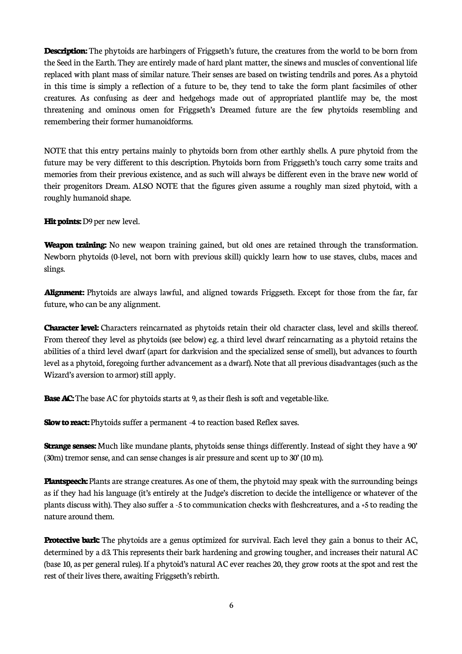**Description:** The phytoids are harbingers of Friggseth's future, the creatures from the world to be born from the Seed in the Earth. They are entirely made of hard plant matter, the sinews and muscles of conventional life replaced with plant mass of similar nature. Their senses are based on twisting tendrils and pores. As a phytoid in this time is simply a reflection of a future to be, they tend to take the form plant facsimiles of other creatures. As confusing as deer and hedgehogs made out of appropriated plantlife may be, the most threatening and ominous omen for Friggseth's Dreamed future are the few phytoids resembling and remembering their former humanoidforms.

NOTE that this entry pertains mainly to phytoids born from other earthly shells. A pure phytoid from the future may be very different to this description. Phytoids born from Friggseth's touch carry some traits and memories from their previous existence, and as such will always be different even in the brave new world of their progenitors Dream. ALSO NOTE that the figures given assume a roughly man sized phytoid, with a roughly humanoid shape.

**Hit points:** D9 per new level.

**Weapon training:** No new weapon training gained, but old ones are retained through the transformation. Newborn phytoids (0-level, not born with previous skill) quickly learn how to use staves, clubs, maces and slings.

**Alignment:** Phytoids are always lawful, and aligned towards Friggseth. Except for those from the far, far future, who can be any alignment.

**Character level:** Characters reincarnated as phytoids retain their old character class, level and skills thereof. From thereof they level as phytoids (see below) e.g. a third level dwarf reincarnating as a phytoid retains the abilities of a third level dwarf (apart for darkvision and the specialized sense of smell), but advances to fourth level as a phytoid, foregoing further advancement as a dwarf). Note that all previous disadvantages (such as the Wizard's aversion to armor) still apply.

**Base AC:** The base AC for phytoids starts at 9, as their flesh is soft and vegetable-like.

**Slow to react:** Phytoids suffer a permanent -4 to reaction based Reflex saves.

**Strange senses:** Much like mundane plants, phytoids sense things differently. Instead of sight they have a 90' (30m) tremor sense, and can sense changes is air pressure and scent up to 30' (10 m).

**Plantspeech:** Plants are strange creatures. As one of them, the phytoid may speak with the surrounding beings as if they had his language (it's entirely at the Judge's discretion to decide the intelligence or whatever of the plants discuss with). They also suffer a -5 to communication checks with fleshcreatures, and a +5 to reading the nature around them.

**Protective bark:** The phytoids are a genus optimized for survival. Each level they gain a bonus to their AC, determined by a d3. This represents their bark hardening and growing tougher, and increases their natural AC (base 10, as per general rules). If a phytoid's natural AC ever reaches 20, they grow roots at the spot and rest the rest of their lives there, awaiting Friggseth's rebirth.